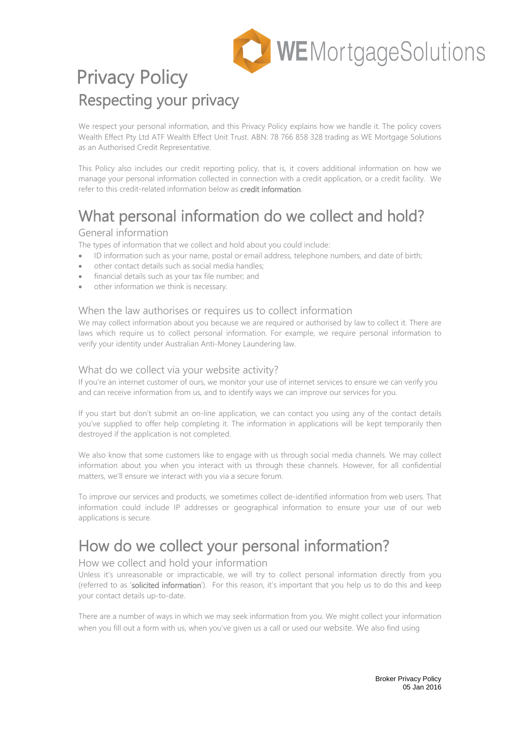

## Privacy Policy Respecting your privacy

We respect your personal information, and this Privacy Policy explains how we handle it. The policy covers Wealth Effect Pty Ltd ATF Wealth Effect Unit Trust. ABN: 78 766 858 328 trading as WE Mortgage Solutions as an Authorised Credit Representative.

This Policy also includes our credit reporting policy, that is, it covers additional information on how we manage your personal information collected in connection with a credit application, or a credit facility. We refer to this credit-related information below as credit information.

# What personal information do we collect and hold?<br>General information

The types of information that we collect and hold about you could include:

- ID information such as your name, postal or email address, telephone numbers, and date of birth;
- other contact details such as social media handles;
- financial details such as your tax file number; and
- other information we think is necessary.

## When the law authorises or requires us to collect information

We may collect information about you because we are required or authorised by law to collect it. There are laws which require us to collect personal information. For example, we require personal information to verify your identity under Australian Anti-Money Laundering law.

## What do we collect via your website activity?

If you're an internet customer of ours, we monitor your use of internet services to ensure we can verify you and can receive information from us, and to identify ways we can improve our services for you.

If you start but don't submit an on-line application, we can contact you using any of the contact details you've supplied to offer help completing it. The information in applications will be kept temporarily then destroyed if the application is not completed.

We also know that some customers like to engage with us through social media channels. We may collect information about you when you interact with us through these channels. However, for all confidential matters, we'll ensure we interact with you via a secure forum.

To improve our services and products, we sometimes collect de-identified information from web users. That information could include IP addresses or geographical information to ensure your use of our web applications is secure.

## How do we collect your personal information?<br>How we collect and hold your information

Unless it's unreasonable or impracticable, we will try to collect personal information directly from you (referred to as 'solicited information'). For this reason, it's important that you help us to do this and keep your contact details up-to-date.

There are a number of ways in which we may seek information from you. We might collect your information when you fill out a form with us, when you've given us a call or used our website. We also find using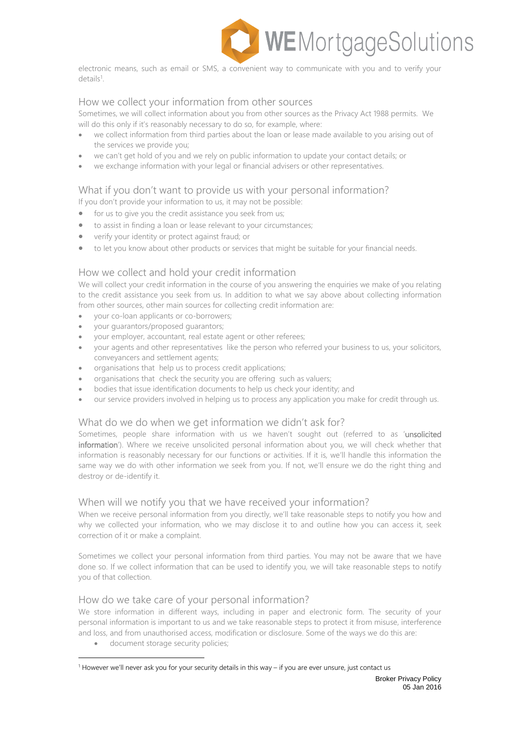

electronic means, such as email or SMS, a convenient way to communicate with you and to verify your details<sup>[1](#page-1-0)</sup>.

## How we collect your information from other sources

Sometimes, we will collect information about you from other sources as the Privacy Act 1988 permits. We will do this only if it's reasonably necessary to do so, for example, where:

- we collect information from third parties about the loan or lease made available to you arising out of the services we provide you;
- we can't get hold of you and we rely on public information to update your contact details; or
- we exchange information with your legal or financial advisers or other representatives.

## What if you don't want to provide us with your personal information?

If you don't provide your information to us, it may not be possible:

- for us to give you the credit assistance you seek from us;
- to assist in finding a loan or lease relevant to your circumstances;
- verify your identity or protect against fraud; or
- to let you know about other products or services that might be suitable for your financial needs.

## How we collect and hold your credit information

We will collect your credit information in the course of you answering the enquiries we make of you relating to the credit assistance you seek from us. In addition to what we say above about collecting information from other sources, other main sources for collecting credit information are:

- your co-loan applicants or co-borrowers;
- your guarantors/proposed guarantors;
- your employer, accountant, real estate agent or other referees;
- your agents and other representatives like the person who referred your business to us, your solicitors, conveyancers and settlement agents;
- organisations that help us to process credit applications;
- organisations that check the security you are offering such as valuers;
- bodies that issue identification documents to help us check your identity; and
- our service providers involved in helping us to process any application you make for credit through us.

## What do we do when we get information we didn't ask for?

Sometimes, people share information with us we haven't sought out (referred to as 'unsolicited information'). Where we receive unsolicited personal information about you, we will check whether that information is reasonably necessary for our functions or activities. If it is, we'll handle this information the same way we do with other information we seek from you. If not, we'll ensure we do the right thing and destroy or de-identify it.

## When will we notify you that we have received your information?

When we receive personal information from you directly, we'll take reasonable steps to notify you how and why we collected your information, who we may disclose it to and outline how you can access it, seek correction of it or make a complaint.

Sometimes we collect your personal information from third parties. You may not be aware that we have done so. If we collect information that can be used to identify you, we will take reasonable steps to notify you of that collection.

## How do we take care of your personal information?

We store information in different ways, including in paper and electronic form. The security of your personal information is important to us and we take reasonable steps to protect it from misuse, interference and loss, and from unauthorised access, modification or disclosure. Some of the ways we do this are:

• document storage security policies;

<span id="page-1-0"></span><sup>1</sup> However we'll never ask you for your security details in this way – if you are ever unsure, just contact us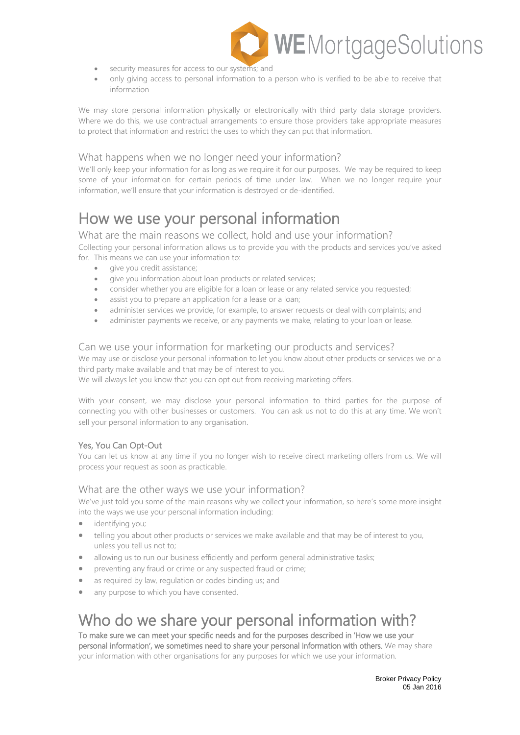

- security measures for access to our systems; and
- only giving access to personal information to a person who is verified to be able to receive that information

We may store personal information physically or electronically with third party data storage providers. Where we do this, we use contractual arrangements to ensure those providers take appropriate measures to protect that information and restrict the uses to which they can put that information.

## What happens when we no longer need your information?

We'll only keep your information for as long as we require it for our purposes. We may be required to keep some of your information for certain periods of time under law. When we no longer require your information, we'll ensure that your information is destroyed or de-identified.

## How we use your personal information<br>What are the main reasons we collect, hold and use your information?

Collecting your personal information allows us to provide you with the products and services you've asked for. This means we can use your information to:

- give you credit assistance;
- give you information about loan products or related services;
- consider whether you are eligible for a loan or lease or any related service you requested;
- assist you to prepare an application for a lease or a loan;
- administer services we provide, for example, to answer requests or deal with complaints; and
- administer payments we receive, or any payments we make, relating to your loan or lease.

## Can we use your information for marketing our products and services?

We may use or disclose your personal information to let you know about other products or services we or a third party make available and that may be of interest to you.

We will always let you know that you can opt out from receiving marketing offers.

With your consent, we may disclose your personal information to third parties for the purpose of connecting you with other businesses or customers. You can ask us not to do this at any time. We won't sell your personal information to any organisation.

## Yes, You Can Opt-Out

You can let us know at any time if you no longer wish to receive direct marketing offers from us. We will process your request as soon as practicable.

## What are the other ways we use your information?

We've just told you some of the main reasons why we collect your information, so here's some more insight into the ways we use your personal information including:

- identifying you;
- telling you about other products or services we make available and that may be of interest to you, unless you tell us not to;
- allowing us to run our business efficiently and perform general administrative tasks;
- preventing any fraud or crime or any suspected fraud or crime;
- as required by law, requiation or codes binding us; and
- any purpose to which you have consented.

## Who do we share your personal information with?<br>To make sure we can meet your specific needs and for the purposes described in 'How we use your

personal information', we sometimes need to share your personal information with others. We may share your information with other organisations for any purposes for which we use your information.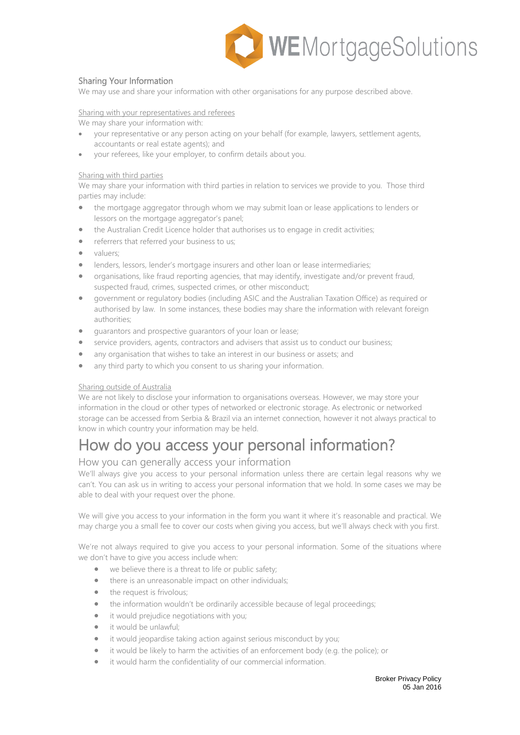

## Sharing Your Information

We may use and share your information with other organisations for any purpose described above.

Sharing with your representatives and referees

We may share your information with:

- your representative or any person acting on your behalf (for example, lawyers, settlement agents, accountants or real estate agents); and
- your referees, like your employer, to confirm details about you.

## Sharing with third parties

We may share your information with third parties in relation to services we provide to you. Those third parties may include:

- the mortgage aggregator through whom we may submit loan or lease applications to lenders or lessors on the mortgage aggregator's panel;
- the Australian Credit Licence holder that authorises us to engage in credit activities;
- referrers that referred your business to us;
- valuers:
- lenders, lessors, lender's mortgage insurers and other loan or lease intermediaries;
- organisations, like fraud reporting agencies, that may identify, investigate and/or prevent fraud, suspected fraud, crimes, suspected crimes, or other misconduct;
- government or regulatory bodies (including ASIC and the Australian Taxation Office) as required or authorised by law. In some instances, these bodies may share the information with relevant foreign authorities;
- guarantors and prospective guarantors of your loan or lease;
- service providers, agents, contractors and advisers that assist us to conduct our business;
- any organisation that wishes to take an interest in our business or assets; and
- any third party to which you consent to us sharing your information.

## Sharing outside of Australia

We are not likely to disclose your information to organisations overseas. However, we may store your information in the cloud or other types of networked or electronic storage. As electronic or networked storage can be accessed from Serbia & Brazil via an internet connection, however it not always practical to know in which country your information may be held.

## How do you access your personal information?<br>How you can generally access your information

We'll always give you access to your personal information unless there are certain legal reasons why we can't. You can ask us in writing to access your personal information that we hold. In some cases we may be able to deal with your request over the phone.

We will give you access to your information in the form you want it where it's reasonable and practical. We may charge you a small fee to cover our costs when giving you access, but we'll always check with you first.

We're not always required to give you access to your personal information. Some of the situations where we don't have to give you access include when:

- we believe there is a threat to life or public safety;
- there is an unreasonable impact on other individuals;
- the request is frivolous;
- the information wouldn't be ordinarily accessible because of legal proceedings;
- it would prejudice negotiations with you;
- it would be unlawful:
- it would jeopardise taking action against serious misconduct by you;
- it would be likely to harm the activities of an enforcement body (e.g. the police); or
- it would harm the confidentiality of our commercial information.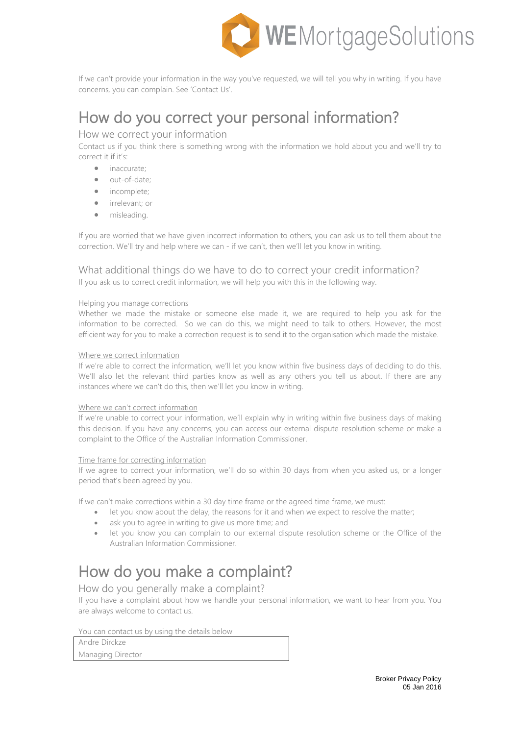

If we can't provide your information in the way you've requested, we will tell you why in writing. If you have concerns, you can complain. See 'Contact Us'.

## How do you correct your personal information?<br>How we correct your information

Contact us if you think there is something wrong with the information we hold about you and we'll try to correct it if it's:

- inaccurate;
- out-of-date;
- incomplete;
- irrelevant; or
- misleading.

If you are worried that we have given incorrect information to others, you can ask us to tell them about the correction. We'll try and help where we can - if we can't, then we'll let you know in writing.

## What additional things do we have to do to correct your credit information? If you ask us to correct credit information, we will help you with this in the following way.

### Helping you manage corrections

Whether we made the mistake or someone else made it, we are required to help you ask for the information to be corrected. So we can do this, we might need to talk to others. However, the most efficient way for you to make a correction request is to send it to the organisation which made the mistake.

## Where we correct information

If we're able to correct the information, we'll let you know within five business days of deciding to do this. We'll also let the relevant third parties know as well as any others you tell us about. If there are any instances where we can't do this, then we'll let you know in writing.

## Where we can't correct information

If we're unable to correct your information, we'll explain why in writing within five business days of making this decision. If you have any concerns, you can access our external dispute resolution scheme or make a complaint to the Office of the Australian Information Commissioner.

## Time frame for correcting information

If we agree to correct your information, we'll do so within 30 days from when you asked us, or a longer period that's been agreed by you.

If we can't make corrections within a 30 day time frame or the agreed time frame, we must:

- let you know about the delay, the reasons for it and when we expect to resolve the matter;
- ask you to agree in writing to give us more time; and
- let you know you can complain to our external dispute resolution scheme or the Office of the Australian Information Commissioner.

## How do you make a complaint?<br>How do you generally make a complaint?

If you have a complaint about how we handle your personal information, we want to hear from you. You are always welcome to contact us.

You can contact us by using the details below

| Andre Dirckze     |
|-------------------|
| Managing Director |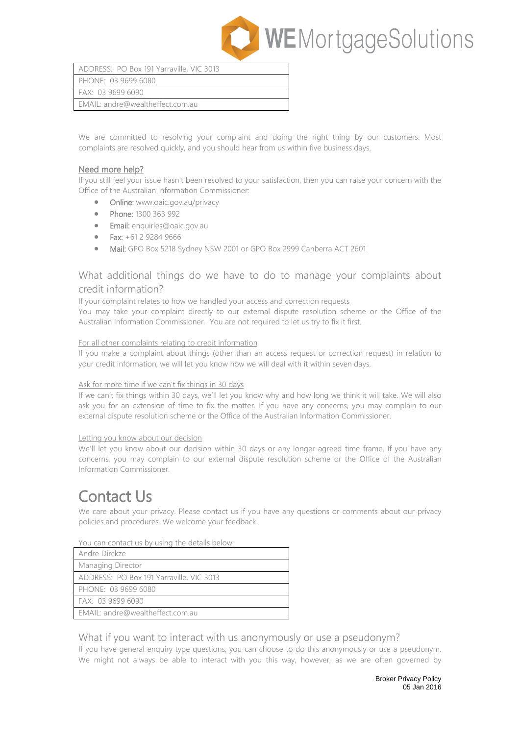

| ADDRESS: PO Box 191 Yarraville, VIC 3013 |  |
|------------------------------------------|--|
| PHONE: 03 9699 6080                      |  |
| FAX: 03 9699 6090                        |  |
| EMAIL: andre@wealtheffect.com.au         |  |

We are committed to resolving your complaint and doing the right thing by our customers. Most complaints are resolved quickly, and you should hear from us within five business days.

## Need more help?

If you still feel your issue hasn't been resolved to your satisfaction, then you can raise your concern with the Office of the Australian Information Commissioner:

- Online: [www.oaic.gov.au/privacy](http://www.oaic.gov.au/privacy)
- Phone: 1300 363 992
- Email: [enquiries@oaic.gov.au](mailto:enquiries@oaic.gov.au)
- Fax: +61 2 9284 9666
- Mail: GPO Box 5218 Sydney NSW 2001 or GPO Box 2999 Canberra ACT 2601

## What additional things do we have to do to manage your complaints about credit information?

### If your complaint relates to how we handled your access and correction requests

You may take your complaint directly to our external dispute resolution scheme or the Office of the Australian Information Commissioner. You are not required to let us try to fix it first.

### For all other complaints relating to credit information

If you make a complaint about things (other than an access request or correction request) in relation to your credit information, we will let you know how we will deal with it within seven days.

## Ask for more time if we can't fix things in 30 days

If we can't fix things within 30 days, we'll let you know why and how long we think it will take. We will also ask you for an extension of time to fix the matter. If you have any concerns, you may complain to our external dispute resolution scheme or the Office of the Australian Information Commissioner.

### Letting you know about our decision

We'll let you know about our decision within 30 days or any longer agreed time frame. If you have any concerns, you may complain to our external dispute resolution scheme or the Office of the Australian Information Commissioner.

Contact Us<br>We care about your privacy. Please contact us if you have any questions or comments about our privacy policies and procedures. We welcome your feedback.

### You can contact us by using the details below:

| Andre Dirckze       |                                          |
|---------------------|------------------------------------------|
| Managing Director   |                                          |
|                     | ADDRESS: PO Box 191 Yarraville, VIC 3013 |
| PHONE: 03 9699 6080 |                                          |
| FAX: 03 9699 6090   |                                          |
|                     | EMAIL: andre@wealtheffect.com.au         |

## What if you want to interact with us anonymously or use a pseudonym?

If you have general enquiry type questions, you can choose to do this anonymously or use a pseudonym. We might not always be able to interact with you this way, however, as we are often governed by